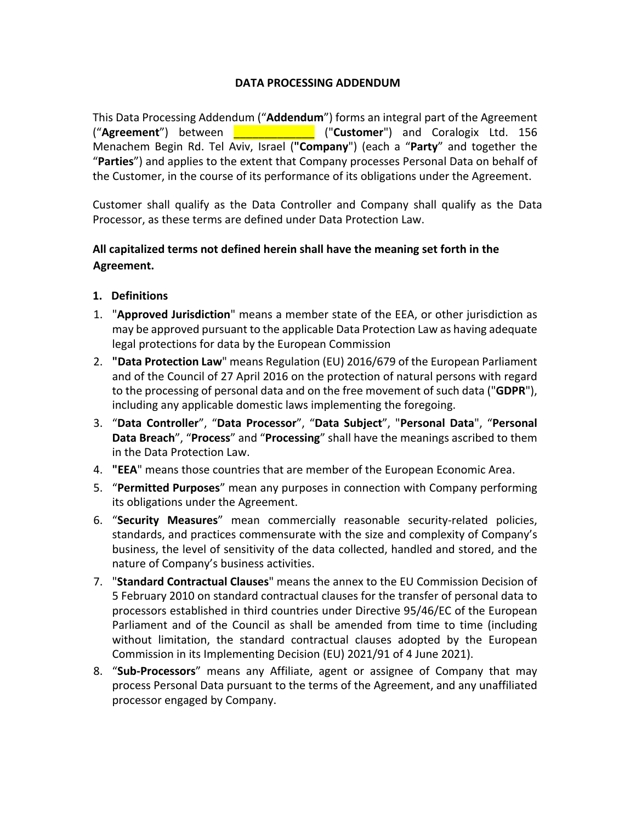### **DATA PROCESSING ADDENDUM**

This Data Processing Addendum ("**Addendum**") forms an integral part of the Agreement ("**Agreement**") between \_\_\_\_\_\_\_\_\_\_\_\_\_ ("**Customer**") and Coralogix Ltd. 156 Menachem Begin Rd. Tel Aviv, Israel (**"Company**") (each a "**Party**" and together the "**Parties**") and applies to the extent that Company processes Personal Data on behalf of the Customer, in the course of its performance of its obligations under the Agreement.

Customer shall qualify as the Data Controller and Company shall qualify as the Data Processor, as these terms are defined under Data Protection Law.

# **All capitalized terms not defined herein shall have the meaning set forth in the Agreement.**

- **1. Definitions**
- 1. "**Approved Jurisdiction**" means a member state of the EEA, or other jurisdiction as may be approved pursuant to the applicable Data Protection Law as having adequate legal protections for data by the European Commission
- 2. **"Data Protection Law**" means Regulation (EU) 2016/679 of the European Parliament and of the Council of 27 April 2016 on the protection of natural persons with regard to the processing of personal data and on the free movement of such data ("**GDPR**"), including any applicable domestic laws implementing the foregoing.
- 3. "**Data Controller**", "**Data Processor**", "**Data Subject**", "**Personal Data**", "**Personal Data Breach**", "**Process**" and "**Processing**" shall have the meanings ascribed to them in the Data Protection Law.
- 4. **"EEA**" means those countries that are member of the European Economic Area.
- 5. "**Permitted Purposes**" mean any purposes in connection with Company performing its obligations under the Agreement.
- 6. "**Security Measures**" mean commercially reasonable security-related policies, standards, and practices commensurate with the size and complexity of Company's business, the level of sensitivity of the data collected, handled and stored, and the nature of Company's business activities.
- 7. "**Standard Contractual Clauses**" means the annex to the EU Commission Decision of 5 February 2010 on standard contractual clauses for the transfer of personal data to processors established in third countries under Directive 95/46/EC of the European Parliament and of the Council as shall be amended from time to time (including without limitation, the standard contractual clauses adopted by the European Commission in its Implementing Decision (EU) 2021/91 of 4 June 2021).
- 8. "**Sub-Processors**" means any Affiliate, agent or assignee of Company that may process Personal Data pursuant to the terms of the Agreement, and any unaffiliated processor engaged by Company.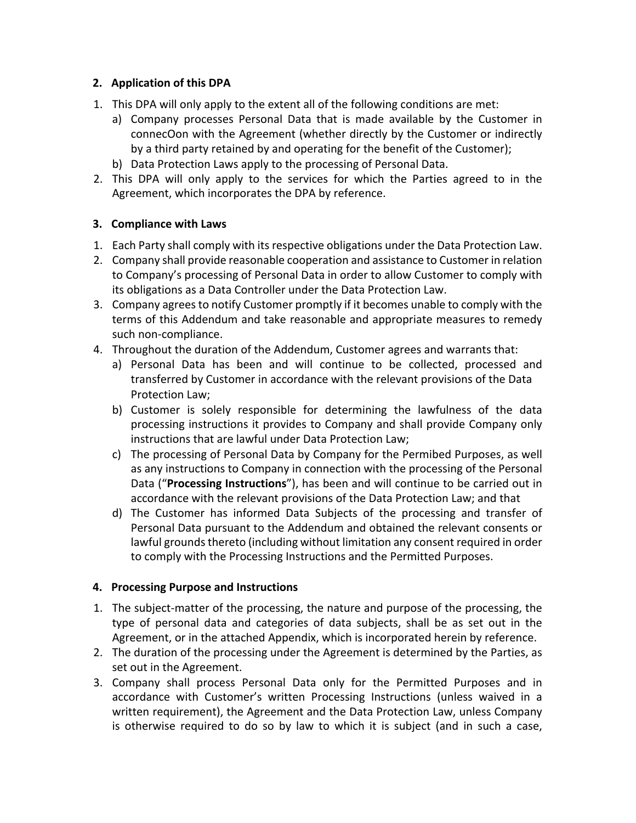## **2. Application of this DPA**

- 1. This DPA will only apply to the extent all of the following conditions are met:
	- a) Company processes Personal Data that is made available by the Customer in connecOon with the Agreement (whether directly by the Customer or indirectly by a third party retained by and operating for the benefit of the Customer);
	- b) Data Protection Laws apply to the processing of Personal Data.
- 2. This DPA will only apply to the services for which the Parties agreed to in the Agreement, which incorporates the DPA by reference.

## **3. Compliance with Laws**

- 1. Each Party shall comply with its respective obligations under the Data Protection Law.
- 2. Company shall provide reasonable cooperation and assistance to Customer in relation to Company's processing of Personal Data in order to allow Customer to comply with its obligations as a Data Controller under the Data Protection Law.
- 3. Company agrees to notify Customer promptly if it becomes unable to comply with the terms of this Addendum and take reasonable and appropriate measures to remedy such non-compliance.
- 4. Throughout the duration of the Addendum, Customer agrees and warrants that:
	- a) Personal Data has been and will continue to be collected, processed and transferred by Customer in accordance with the relevant provisions of the Data Protection Law;
	- b) Customer is solely responsible for determining the lawfulness of the data processing instructions it provides to Company and shall provide Company only instructions that are lawful under Data Protection Law;
	- c) The processing of Personal Data by Company for the Permibed Purposes, as well as any instructions to Company in connection with the processing of the Personal Data ("**Processing Instructions**"), has been and will continue to be carried out in accordance with the relevant provisions of the Data Protection Law; and that
	- d) The Customer has informed Data Subjects of the processing and transfer of Personal Data pursuant to the Addendum and obtained the relevant consents or lawful grounds thereto (including without limitation any consent required in order to comply with the Processing Instructions and the Permitted Purposes.

## **4. Processing Purpose and Instructions**

- 1. The subject-matter of the processing, the nature and purpose of the processing, the type of personal data and categories of data subjects, shall be as set out in the Agreement, or in the attached Appendix, which is incorporated herein by reference.
- 2. The duration of the processing under the Agreement is determined by the Parties, as set out in the Agreement.
- 3. Company shall process Personal Data only for the Permitted Purposes and in accordance with Customer's written Processing Instructions (unless waived in a written requirement), the Agreement and the Data Protection Law, unless Company is otherwise required to do so by law to which it is subject (and in such a case,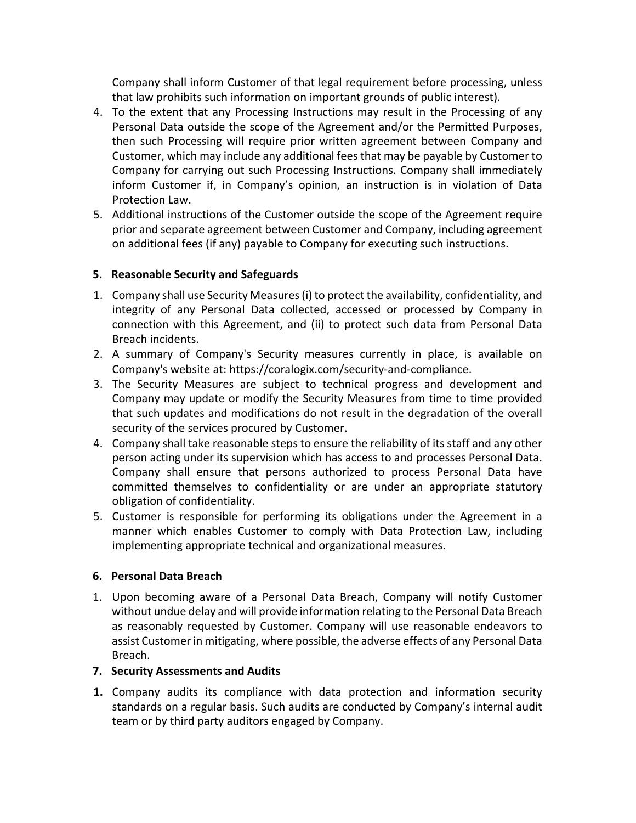Company shall inform Customer of that legal requirement before processing, unless that law prohibits such information on important grounds of public interest).

- 4. To the extent that any Processing Instructions may result in the Processing of any Personal Data outside the scope of the Agreement and/or the Permitted Purposes, then such Processing will require prior written agreement between Company and Customer, which may include any additional fees that may be payable by Customer to Company for carrying out such Processing Instructions. Company shall immediately inform Customer if, in Company's opinion, an instruction is in violation of Data Protection Law.
- 5. Additional instructions of the Customer outside the scope of the Agreement require prior and separate agreement between Customer and Company, including agreement on additional fees (if any) payable to Company for executing such instructions.

## **5. Reasonable Security and Safeguards**

- 1. Company shall use Security Measures (i) to protect the availability, confidentiality, and integrity of any Personal Data collected, accessed or processed by Company in connection with this Agreement, and (ii) to protect such data from Personal Data Breach incidents.
- 2. A summary of Company's Security measures currently in place, is available on Company's website at: https://coralogix.com/security-and-compliance.
- 3. The Security Measures are subject to technical progress and development and Company may update or modify the Security Measures from time to time provided that such updates and modifications do not result in the degradation of the overall security of the services procured by Customer.
- 4. Company shall take reasonable steps to ensure the reliability of its staff and any other person acting under its supervision which has access to and processes Personal Data. Company shall ensure that persons authorized to process Personal Data have committed themselves to confidentiality or are under an appropriate statutory obligation of confidentiality.
- 5. Customer is responsible for performing its obligations under the Agreement in a manner which enables Customer to comply with Data Protection Law, including implementing appropriate technical and organizational measures.

#### **6. Personal Data Breach**

1. Upon becoming aware of a Personal Data Breach, Company will notify Customer without undue delay and will provide information relating to the Personal Data Breach as reasonably requested by Customer. Company will use reasonable endeavors to assist Customer in mitigating, where possible, the adverse effects of any Personal Data Breach.

## **7. Security Assessments and Audits**

**1.** Company audits its compliance with data protection and information security standards on a regular basis. Such audits are conducted by Company's internal audit team or by third party auditors engaged by Company.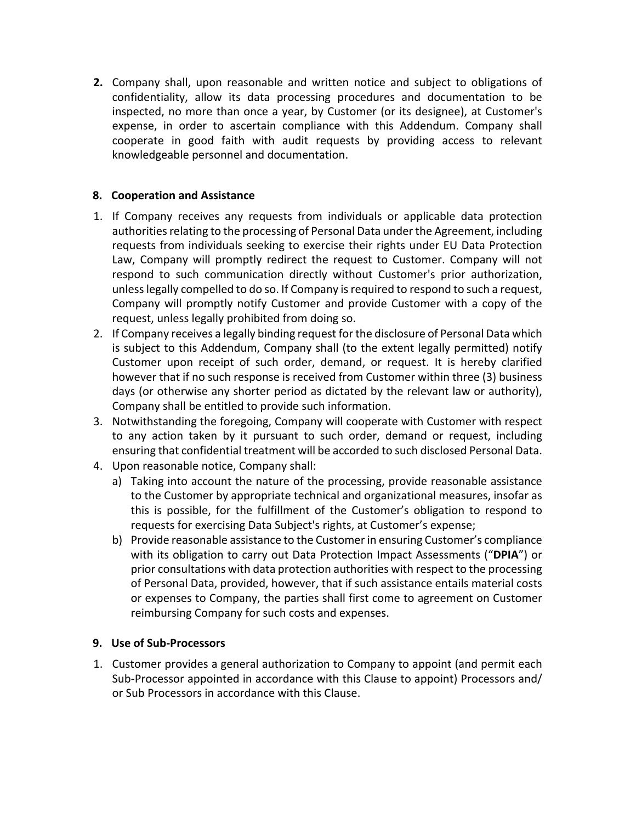**2.** Company shall, upon reasonable and written notice and subject to obligations of confidentiality, allow its data processing procedures and documentation to be inspected, no more than once a year, by Customer (or its designee), at Customer's expense, in order to ascertain compliance with this Addendum. Company shall cooperate in good faith with audit requests by providing access to relevant knowledgeable personnel and documentation.

### **8. Cooperation and Assistance**

- 1. If Company receives any requests from individuals or applicable data protection authorities relating to the processing of Personal Data under the Agreement, including requests from individuals seeking to exercise their rights under EU Data Protection Law, Company will promptly redirect the request to Customer. Company will not respond to such communication directly without Customer's prior authorization, unless legally compelled to do so. If Company is required to respond to such a request, Company will promptly notify Customer and provide Customer with a copy of the request, unless legally prohibited from doing so.
- 2. If Company receives a legally binding request for the disclosure of Personal Data which is subject to this Addendum, Company shall (to the extent legally permitted) notify Customer upon receipt of such order, demand, or request. It is hereby clarified however that if no such response is received from Customer within three (3) business days (or otherwise any shorter period as dictated by the relevant law or authority), Company shall be entitled to provide such information.
- 3. Notwithstanding the foregoing, Company will cooperate with Customer with respect to any action taken by it pursuant to such order, demand or request, including ensuring that confidential treatment will be accorded to such disclosed Personal Data.
- 4. Upon reasonable notice, Company shall:
	- a) Taking into account the nature of the processing, provide reasonable assistance to the Customer by appropriate technical and organizational measures, insofar as this is possible, for the fulfillment of the Customer's obligation to respond to requests for exercising Data Subject's rights, at Customer's expense;
	- b) Provide reasonable assistance to the Customer in ensuring Customer's compliance with its obligation to carry out Data Protection Impact Assessments ("**DPIA**") or prior consultations with data protection authorities with respect to the processing of Personal Data, provided, however, that if such assistance entails material costs or expenses to Company, the parties shall first come to agreement on Customer reimbursing Company for such costs and expenses.

#### **9. Use of Sub-Processors**

1. Customer provides a general authorization to Company to appoint (and permit each Sub-Processor appointed in accordance with this Clause to appoint) Processors and/ or Sub Processors in accordance with this Clause.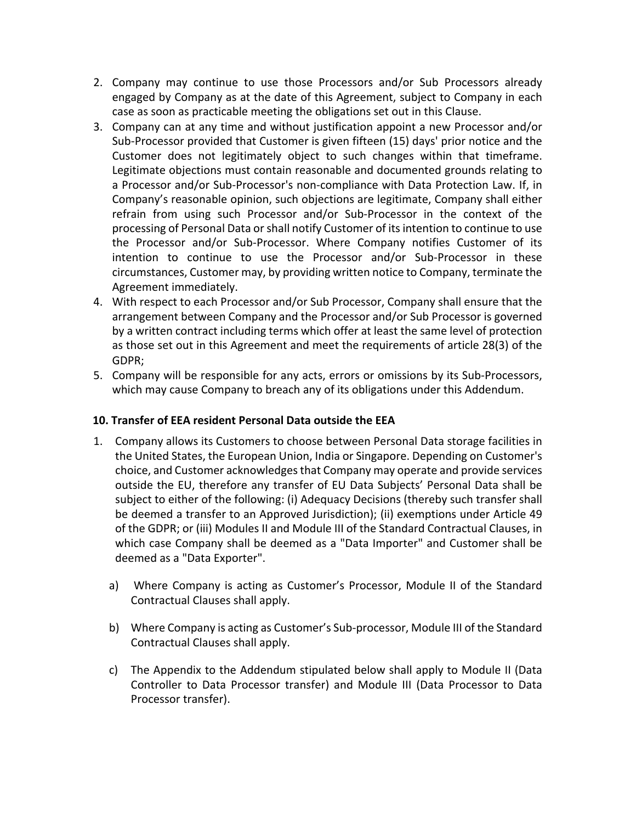- 2. Company may continue to use those Processors and/or Sub Processors already engaged by Company as at the date of this Agreement, subject to Company in each case as soon as practicable meeting the obligations set out in this Clause.
- 3. Company can at any time and without justification appoint a new Processor and/or Sub-Processor provided that Customer is given fifteen (15) days' prior notice and the Customer does not legitimately object to such changes within that timeframe. Legitimate objections must contain reasonable and documented grounds relating to a Processor and/or Sub-Processor's non-compliance with Data Protection Law. If, in Company's reasonable opinion, such objections are legitimate, Company shall either refrain from using such Processor and/or Sub-Processor in the context of the processing of Personal Data or shall notify Customer of its intention to continue to use the Processor and/or Sub-Processor. Where Company notifies Customer of its intention to continue to use the Processor and/or Sub-Processor in these circumstances, Customer may, by providing written notice to Company, terminate the Agreement immediately.
- 4. With respect to each Processor and/or Sub Processor, Company shall ensure that the arrangement between Company and the Processor and/or Sub Processor is governed by a written contract including terms which offer at least the same level of protection as those set out in this Agreement and meet the requirements of article 28(3) of the GDPR;
- 5. Company will be responsible for any acts, errors or omissions by its Sub-Processors, which may cause Company to breach any of its obligations under this Addendum.

## **10. Transfer of EEA resident Personal Data outside the EEA**

- 1. Company allows its Customers to choose between Personal Data storage facilities in the United States, the European Union, India or Singapore. Depending on Customer's choice, and Customer acknowledges that Company may operate and provide services outside the EU, therefore any transfer of EU Data Subjects' Personal Data shall be subject to either of the following: (i) Adequacy Decisions (thereby such transfer shall be deemed a transfer to an Approved Jurisdiction); (ii) exemptions under Article 49 of the GDPR; or (iii) Modules II and Module III of the Standard Contractual Clauses, in which case Company shall be deemed as a "Data Importer" and Customer shall be deemed as a "Data Exporter".
	- a) Where Company is acting as Customer's Processor, Module II of the Standard Contractual Clauses shall apply.
	- b) Where Company is acting as Customer's Sub-processor, Module III of the Standard Contractual Clauses shall apply.
	- c) The Appendix to the Addendum stipulated below shall apply to Module II (Data Controller to Data Processor transfer) and Module III (Data Processor to Data Processor transfer).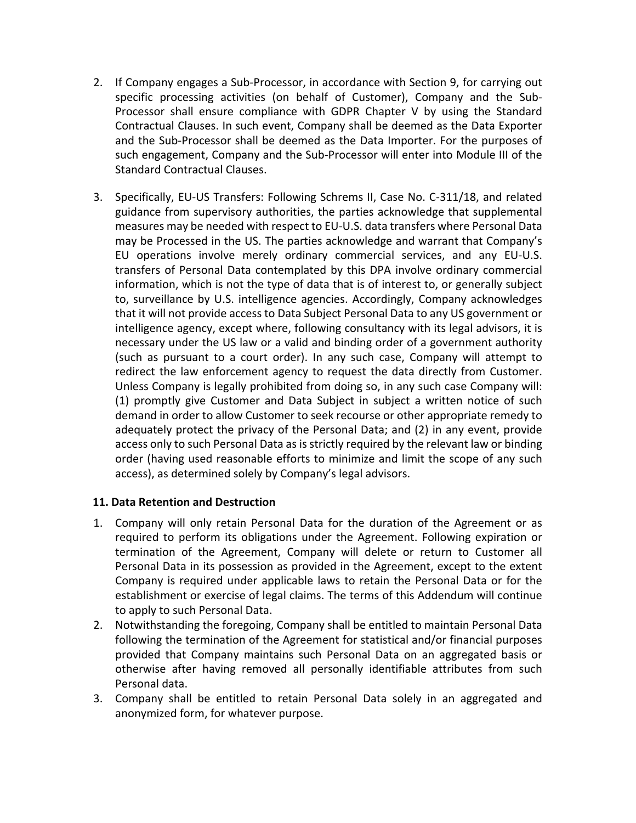- 2. If Company engages a Sub-Processor, in accordance with Section 9, for carrying out specific processing activities (on behalf of Customer), Company and the Sub-Processor shall ensure compliance with GDPR Chapter V by using the Standard Contractual Clauses. In such event, Company shall be deemed as the Data Exporter and the Sub-Processor shall be deemed as the Data Importer. For the purposes of such engagement, Company and the Sub-Processor will enter into Module III of the Standard Contractual Clauses.
- 3. Specifically, EU-US Transfers: Following Schrems II, Case No. C-311/18, and related guidance from supervisory authorities, the parties acknowledge that supplemental measures may be needed with respect to EU-U.S. data transfers where Personal Data may be Processed in the US. The parties acknowledge and warrant that Company's EU operations involve merely ordinary commercial services, and any EU-U.S. transfers of Personal Data contemplated by this DPA involve ordinary commercial information, which is not the type of data that is of interest to, or generally subject to, surveillance by U.S. intelligence agencies. Accordingly, Company acknowledges that it will not provide access to Data Subject Personal Data to any US government or intelligence agency, except where, following consultancy with its legal advisors, it is necessary under the US law or a valid and binding order of a government authority (such as pursuant to a court order). In any such case, Company will attempt to redirect the law enforcement agency to request the data directly from Customer. Unless Company is legally prohibited from doing so, in any such case Company will: (1) promptly give Customer and Data Subject in subject a written notice of such demand in order to allow Customer to seek recourse or other appropriate remedy to adequately protect the privacy of the Personal Data; and (2) in any event, provide access only to such Personal Data as is strictly required by the relevant law or binding order (having used reasonable efforts to minimize and limit the scope of any such access), as determined solely by Company's legal advisors.

#### **11. Data Retention and Destruction**

- 1. Company will only retain Personal Data for the duration of the Agreement or as required to perform its obligations under the Agreement. Following expiration or termination of the Agreement, Company will delete or return to Customer all Personal Data in its possession as provided in the Agreement, except to the extent Company is required under applicable laws to retain the Personal Data or for the establishment or exercise of legal claims. The terms of this Addendum will continue to apply to such Personal Data.
- 2. Notwithstanding the foregoing, Company shall be entitled to maintain Personal Data following the termination of the Agreement for statistical and/or financial purposes provided that Company maintains such Personal Data on an aggregated basis or otherwise after having removed all personally identifiable attributes from such Personal data.
- 3. Company shall be entitled to retain Personal Data solely in an aggregated and anonymized form, for whatever purpose.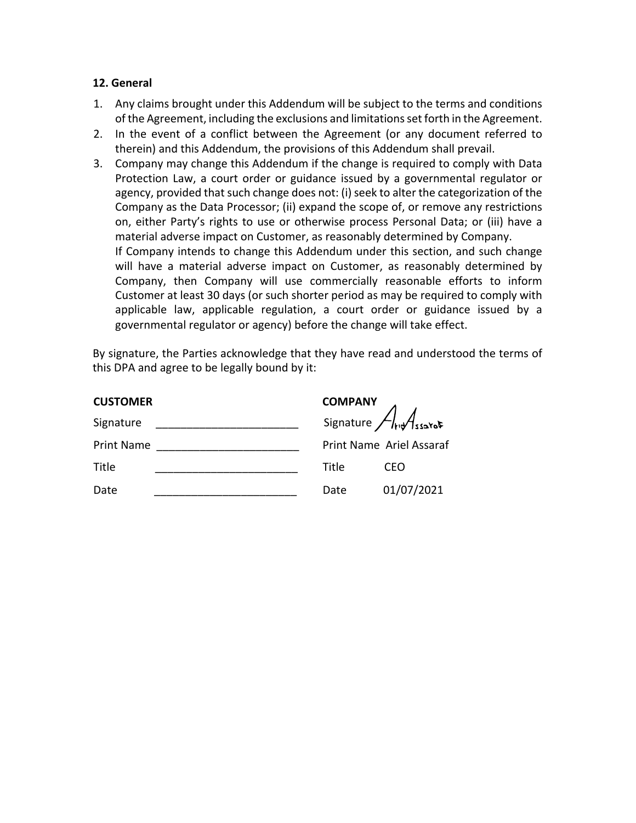#### **12. General**

- 1. Any claims brought under this Addendum will be subject to the terms and conditions of the Agreement, including the exclusions and limitations set forth in the Agreement.
- 2. In the event of a conflict between the Agreement (or any document referred to therein) and this Addendum, the provisions of this Addendum shall prevail.
- 3. Company may change this Addendum if the change is required to comply with Data Protection Law, a court order or guidance issued by a governmental regulator or agency, provided that such change does not: (i) seek to alter the categorization of the Company as the Data Processor; (ii) expand the scope of, or remove any restrictions on, either Party's rights to use or otherwise process Personal Data; or (iii) have a material adverse impact on Customer, as reasonably determined by Company. If Company intends to change this Addendum under this section, and such change will have a material adverse impact on Customer, as reasonably determined by Company, then Company will use commercially reasonable efforts to inform Customer at least 30 days (or such shorter period as may be required to comply with applicable law, applicable regulation, a court order or guidance issued by a governmental regulator or agency) before the change will take effect.

By signature, the Parties acknowledge that they have read and understood the terms of this DPA and agree to be legally bound by it:

| <b>CUSTOMER</b>   |       | <b>COMPANY</b>              |  |
|-------------------|-------|-----------------------------|--|
| Signature         |       | Signature $\sqrt{h}$ ssared |  |
| <b>Print Name</b> |       | Print Name Ariel Assaraf    |  |
| Title             | Title | CEO                         |  |
| Date              | Date  | 01/07/2021                  |  |